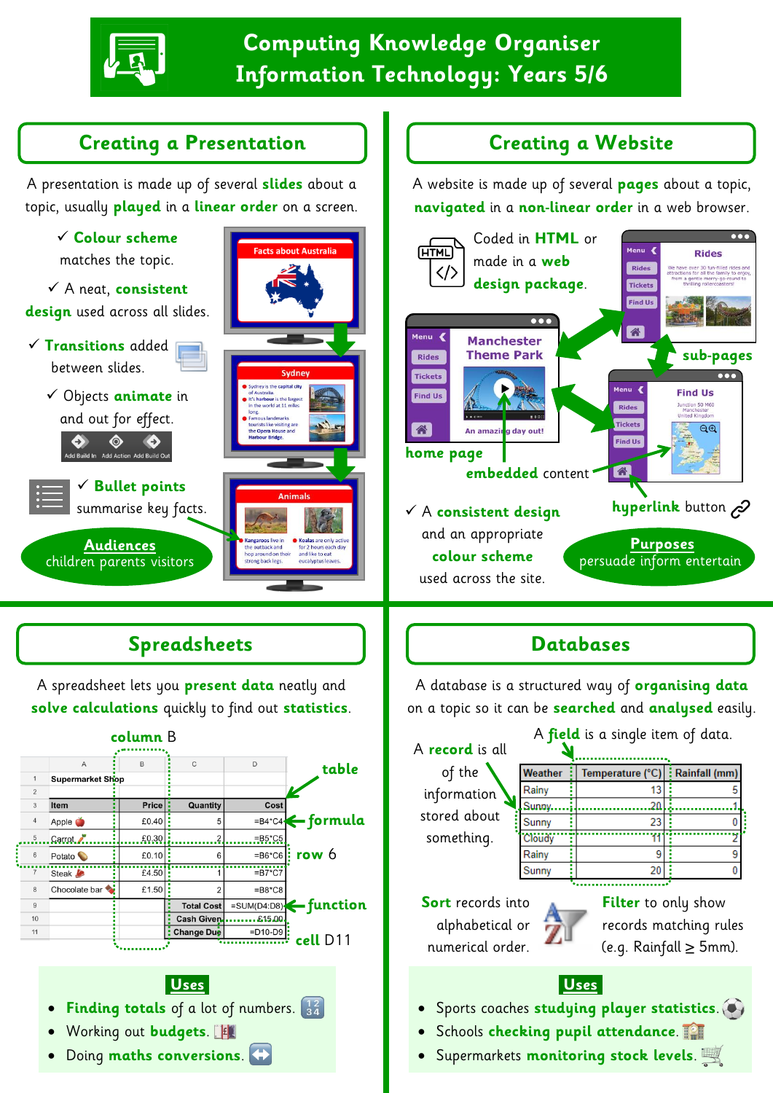

# **Computing Knowledge Organiser Information Technology: Years 5/6**

A website is made up of several **pages** about a topic, **navigated** in a **non-linear order** in a web browser.

## **Creating a Presentation**  | | | Creating a Website

A presentation is made up of several **slides** about a topic, usually **played** in a **linear order** on a screen.

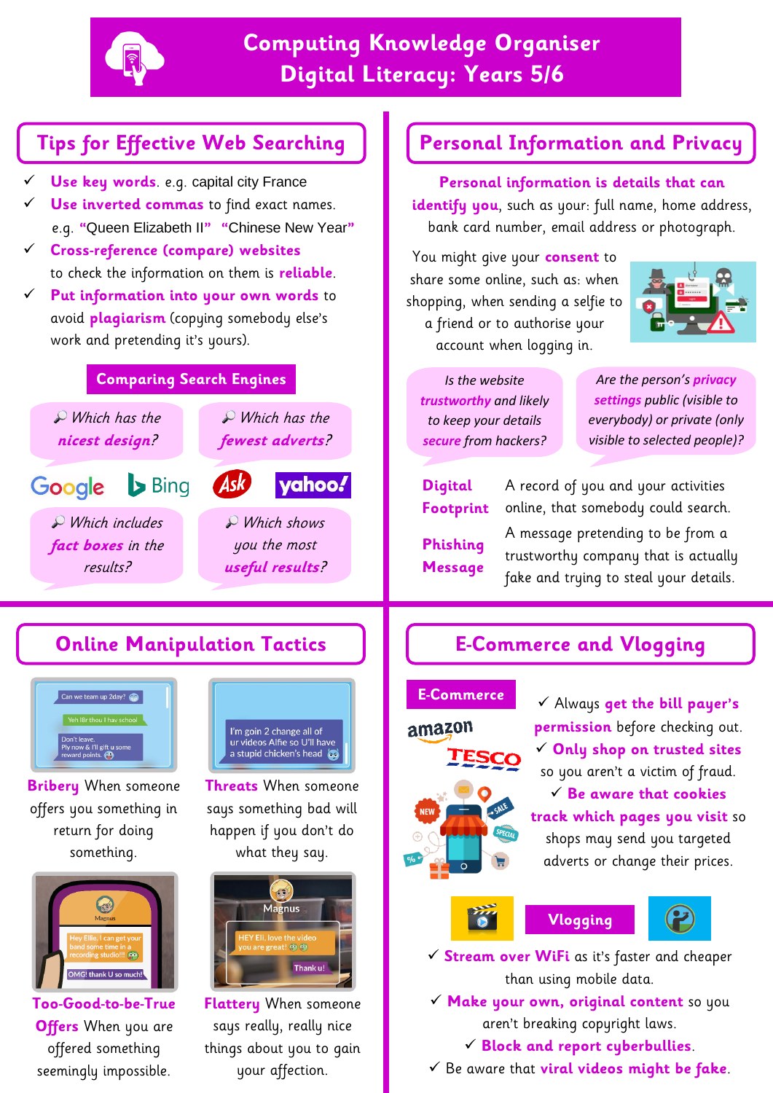

# **Computing Knowledge Organiser Digital Literacy: Years 5/6**

- **Use key words**. e.g. capital city France
- **Use inverted commas** to find exact names. e.g. **"**Queen Elizabeth II**" "**Chinese New Year**"**
- **Cross-reference (compare) websites**  to check the information on them is **reliable**.
- **Put information into your own words** to avoid **plagiarism** (copying somebody else's work and pretending it's yours).

### **Comparing Search Engines**



# **Online Manipulation Tactics E-Commerce and Vlogging**



**Bribery** When someone offers you something in return for doing something.



**Too-Good-to-be-True Offers** When you are offered something seemingly impossible.



**Threats** When someone says something bad will happen if you don't do what they say.



**Flattery** When someone says really, really nice things about you to gain your affection.

## **Tips for Effective Web Searching Personal Information and Privacy**

**Personal information is details that can**  identify you, such as your: full name, home address, bank card number, email address or photograph.

You might give your **consent** to share some online, such as: when shopping, when sending a selfie to a friend or to authorise your account when logging in.



*Is the website trustworthy and likely to keep your details secure from hackers?*

*Are the person's privacy settings public (visible to everybody) or private (only visible to selected people)?*

**Digital Footprint Phishing Message**

A record of you and your activities online, that somebody could search.

A message pretending to be from a trustworthy company that is actually fake and trying to steal your details.

#### **E-Commerce**



 Always **get the bill payer's permission** before checking out. **Only shop on trusted sites** so you aren't a victim of fraud. **Be aware that cookies track which pages you visit** so shops may send you targeted adverts or change their prices.







 **Stream over WiFi** as it's faster and cheaper than using mobile data.

 **Make your own, original content** so you aren't breaking copyright laws.

#### **Block and report cyberbullies**.

Be aware that **viral videos might be fake**.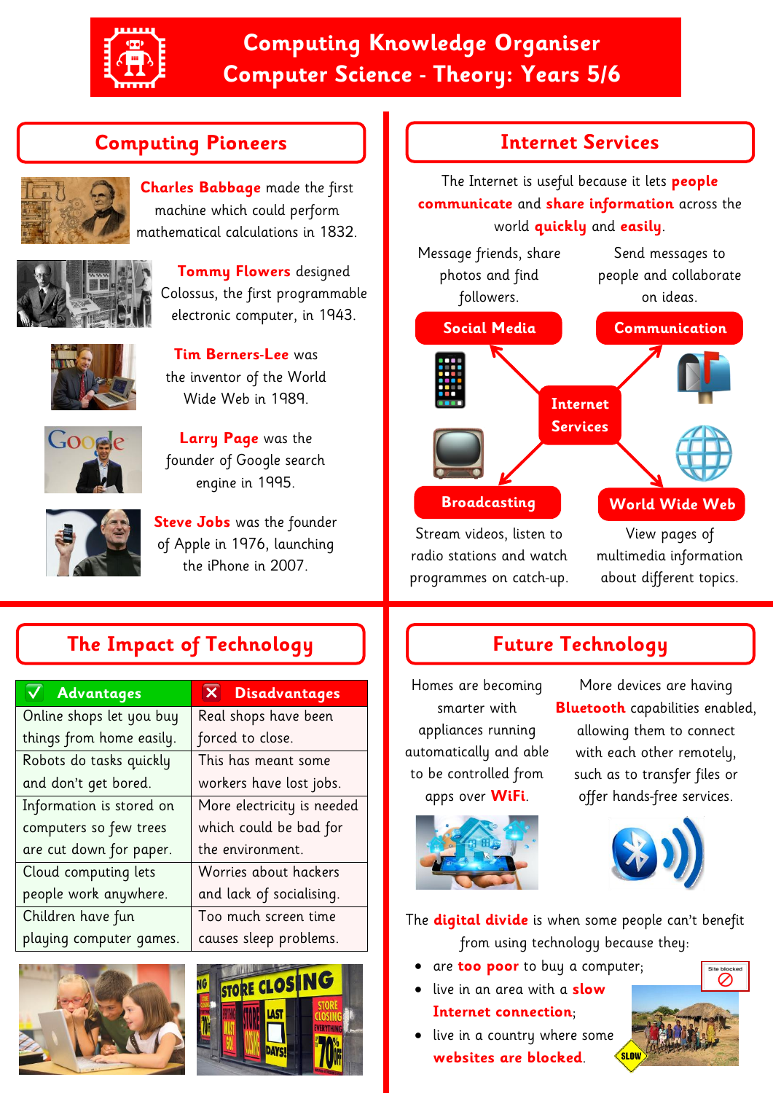

# **Computing Knowledge Organiser Computer Science - Theory: Years 5/6**

## **Computing Pioneers**



**Charles Babbage** made the first machine which could perform mathematical calculations in 1832.



**Tommy Flowers** designed Colossus, the first programmable electronic computer, in 1943.



**Tim Berners-Lee** was the inventor of the World Wide Web in 1989.



**Larry Page** was the founder of Google search engine in 1995.



**Steve Jobs** was the founder of Apple in 1976, launching the iPhone in 2007.

# **The Impact of Technology**

| <b>Advantages</b>        | <b>Disadvantages</b>       |
|--------------------------|----------------------------|
| Online shops let you buy | Real shops have been       |
| things from home easily. | forced to close.           |
| Robots do tasks quickly  | This has meant some        |
| and don't get bored.     | workers have lost jobs.    |
| Information is stored on | More electricity is needed |
| computers so few trees   | which could be bad for     |
| are cut down for paper.  | the environment.           |
| Cloud computing lets     | Worries about hackers      |
| people work anywhere.    | and lack of socialising.   |
| Children have fun        | Too much screen time       |
| playing computer games.  | causes sleep problems.     |





### **Internet Services**

The Internet is useful because it lets **people communicate** and **share information** across the world **quickly** and **easily**.



radio stations and watch programmes on catch-up. multimedia information about different topics.

## **Future Technology**

Homes are becoming smarter with appliances running automatically and able to be controlled from apps over **WiFi**.

More devices are having **Bluetooth** capabilities enabled, allowing them to connect with each other remotely, such as to transfer files or offer hands-free services.



The **digital divide** is when some people can't benefit from using technology because they:

- are **too poor** to buy a computer;
- live in an area with a **slow**

#### **Internet connection**;

• live in a country where some **websites are blocked**.